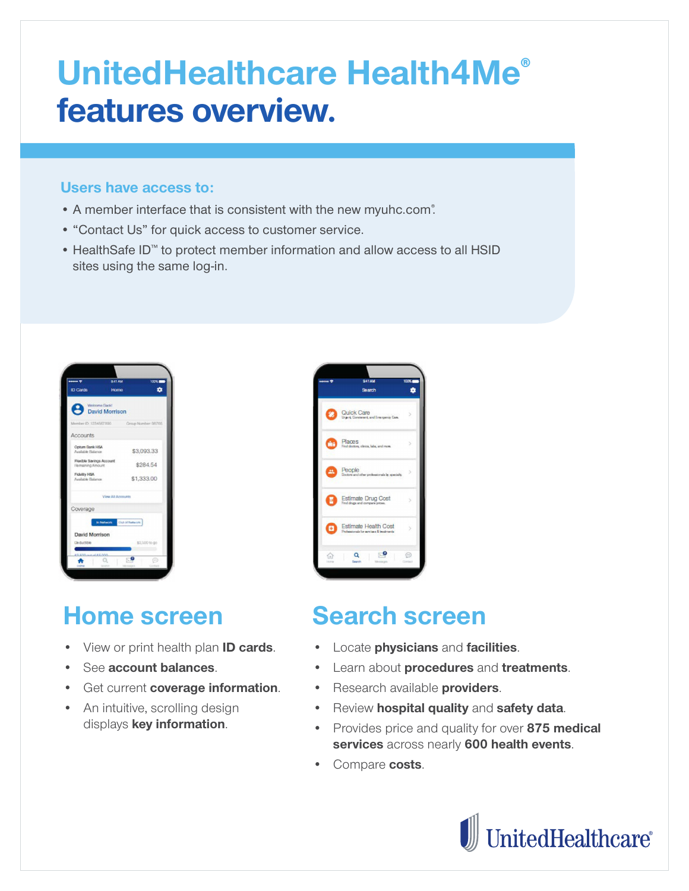# **UnitedHealthcare Health4Me® features overview.**

#### **Users have access to:**

- A member interface that is consistent with the new myuhc.com.
- "Contact Us" for quick access to customer service.
- HealthSafe ID™ to protect member information and allow access to all HSID sites using the same log-in.



### **Home screen**

- View or print health plan **ID cards**.
- See **account balances**.
- Get current **coverage information**.
- An intuitive, scrolling design displays **key information**.



# **Search screen**

- Locate **physicians** and **facilities**.
- Learn about **procedures** and **treatments**.
- Research available **providers**.
- Review **hospital quality** and **safety data**.
- Provides price and quality for over **875 medical services** across nearly **600 health events**.
- Compare **costs**.